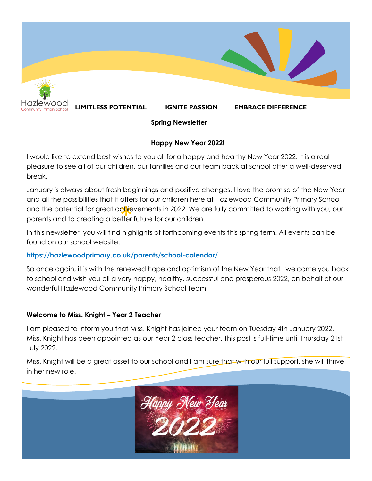

# **Spring Newsletter**

### **Happy New Year 2022!**

I would like to extend best wishes to you all for a happy and healthy New Year 2022. It is a real pleasure to see all of our children, our families and our team back at school after a well-deserved break.

and the potential for great ac<mark>hi</mark>evements in 2022. We are fully committed to working with you, our<br>parents and to creating a better future for our children.<br>In this pour letter, you will find bigblights of forthcoming ove January is always about fresh beginnings and positive changes. I love the promise of the New Year and all the possibilities that it offers for our children here at Hazlewood Community Primary School parents and to creating a better future for our children.

In this newsletter, you will find highlights of forthcoming events this spring term. All events can be found on our school website:

## **https://hazlewoodprimary.co.uk/parents/school-calendar/**

So once again, it is with the renewed hope and optimism of the New Year that I welcome you back to school and wish you all a very happy, healthy, successful and prosperous 2022, on behalf of our wonderful Hazlewood Community Primary School Team.

## **Welcome to Miss. Knight – Year 2 Teacher**

I am pleased to inform you that Miss. Knight has joined your team on Tuesday 4th January 2022. Miss. Knight has been appointed as our Year 2 class teacher. This post is full-time until Thursday 21st July 2022.

Miss. Knight will be a great asset to our school and I am sure that with our full support, she will thrive in her new role.

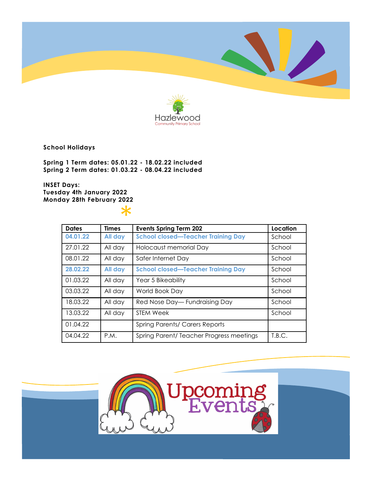



**School Holidays**

**Spring 1 Term dates: 05.01.22 - 18.02.22 included Spring 2 Term dates: 01.03.22 - 08.04.22 included**

**INSET Days: Tuesday 4th January 2022 Monday 28th February 2022**

 $\ast$ 

| <b>Dates</b> | <b>Times</b> | <b>Events Spring Term 202</b>             | Location |
|--------------|--------------|-------------------------------------------|----------|
| 04.01.22     | All day      | <b>School closed-Teacher Training Day</b> | School   |
| 27.01.22     | All day      | Holocaust memorial Day                    | School   |
| 08.01.22     | All day      | Safer Internet Day                        | School   |
| 28.02.22     | All day      | <b>School closed-Teacher Training Day</b> | School   |
| 01.03.22     | All day      | Year 5 Bikeability                        | School   |
| 03.03.22     | All day      | World Book Day                            | School   |
| 18.03.22     | All day      | Red Nose Day - Fundraising Day            | School   |
| 13.03.22     | All day      | <b>STEM Week</b>                          | School   |
| 01.04.22     |              | <b>Spring Parents/ Carers Reports</b>     |          |
| 04.04.22     | P.M.         | Spring Parent/Teacher Progress meetings   | T.B.C.   |

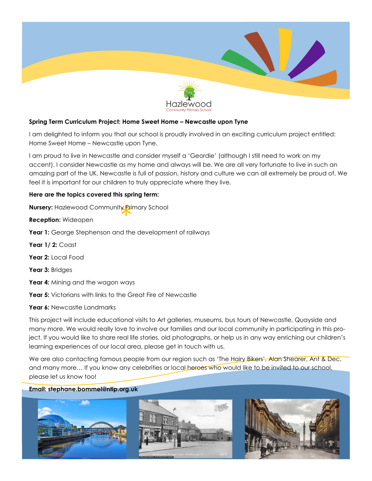

### **Spring Term Curriculum Project: Home Sweet Home – Newcastle upon Tyne**

I am delighted to inform you that our school is proudly involved in an exciting curriculum project entitled: Home Sweet Home – Newcastle upon Tyne.

I am proud to live in Newcastle and consider myself a 'Geordie' (although I still need to work on my accent). I consider Newcastle as my home and always will be. We are all very fortunate to live in such an amazing part of the UK. Newcastle is full of passion, history and culture we can all extremely be proud of. We feel it is important for our children to truly appreciate where they live.

#### **Here are the topics covered this spring term:**

**Nursery:** Hazlewood Community Primary School<br>**Reception:** Wideopen<br>**Your 1:** Coorge Stephensen and the development

**Reception:** Wideopen

**Year 1:** George Stephenson and the development of railways

**Year 1/ 2:** Coast

**Year 2:** Local Food

**Year 3:** Bridges

Year 4: Mining and the wagon ways

**Year 5:** Victorians with links to the Great Fire of Newcastle

Year 6: Newcastle Landmarks

This project will include educational visits to Art galleries, museums, bus tours of Newcastle, Quayside and many more. We would really love to involve our families and our local community in participating in this project. If you would like to share real life stories, old photographs, or help us in any way enriching our children's learning experiences of our local area, please get in touch with us.

We are also contacting famous people from our region such as 'The Hairy Bikers', Alan Shearer, Ant & Dec, and many more... If you know any celebrities or local heroes who would like to be invited to our school, please let us know too!

#### **Email: stephane.bommel@ntlp.org.uk**